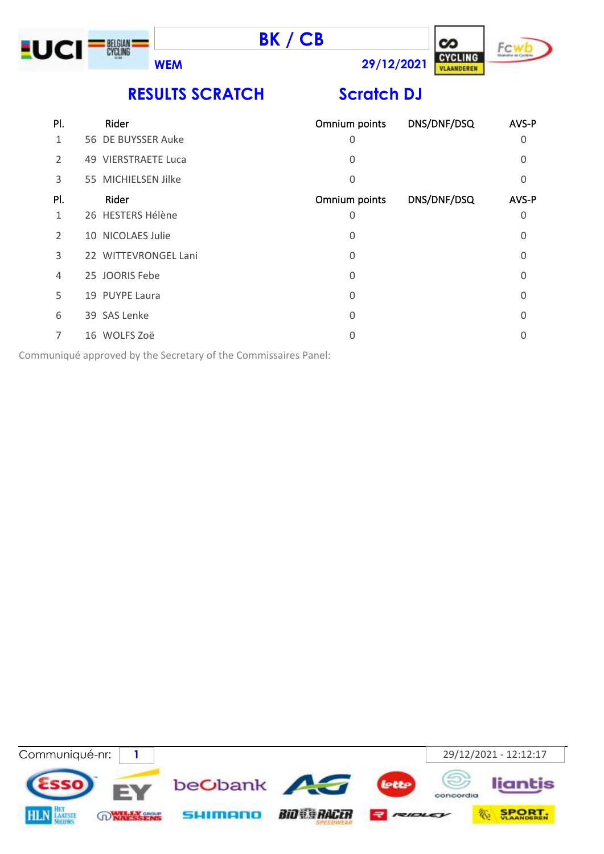





**RESULTS SCRATCH Scratch DJ**

| PI. | Rider                | Omnium points | DNS/DNF/DSQ | AVS-P    |
|-----|----------------------|---------------|-------------|----------|
| 1   | 56 DE BUYSSER Auke   | 0             |             | 0        |
| 2   | 49 VIERSTRAETE Luca  | 0             |             | $\Omega$ |
| 3   | 55 MICHIELSEN Jilke  | 0             |             | 0        |
| PI. | Rider                | Omnium points | DNS/DNF/DSQ | AVS-P    |
| 1   | 26 HESTERS Hélène    | 0             |             | $\Omega$ |
| 2   | 10 NICOLAES Julie    | 0             |             | 0        |
| 3   | 22 WITTEVRONGEL Lani | 0             |             | $\Omega$ |
| 4   | 25 JOORIS Febe       | 0             |             | $\Omega$ |
| 5   | 19 PUYPE Laura       | 0             |             | $\Omega$ |
| 6   | 39 SAS Lenke         | 0             |             | O        |
| 7   | 16 WOLFS Zoë         | 0             |             | 0        |
|     |                      |               |             |          |

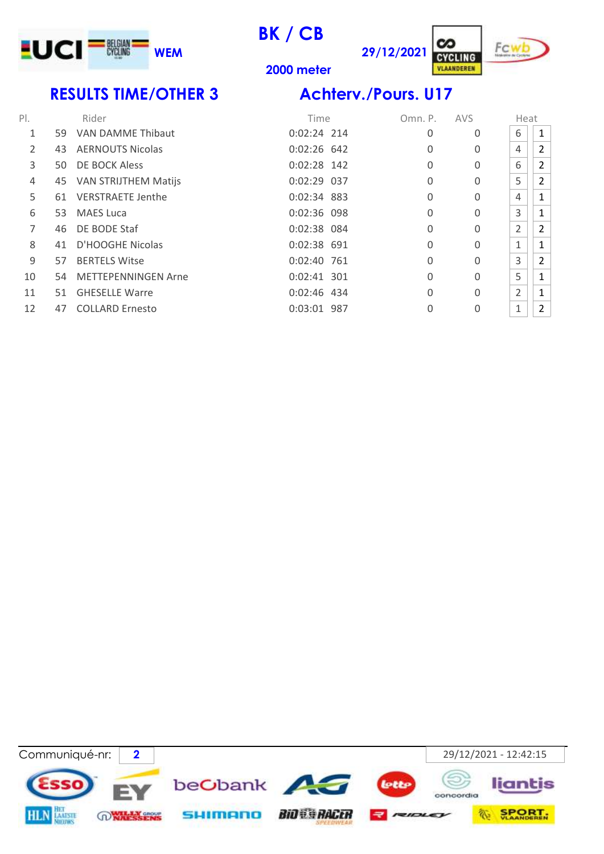

cz **29/12/2021 CYCLING** 



**meter**

# **RESULTS TIME/OTHER 3 Achterv./Pours. U17**

| PI. |    | Rider                      | Time          | Omn. P.  | <b>AVS</b> | Heat         |                |
|-----|----|----------------------------|---------------|----------|------------|--------------|----------------|
| 1   | 59 | VAN DAMME Thibaut          | $0:02:24$ 214 | 0        | 0          | 6            | 1              |
| 2   | 43 | <b>AERNOUTS Nicolas</b>    | $0:02:26$ 642 | 0        | 0          | 4            | 2              |
| 3   | 50 | DE BOCK Aless              | $0:02:28$ 142 | 0        | 0          | 6            | 2              |
| 4   |    | 45 VAN STRIJTHEM Matijs    | $0:02:29$ 037 | 0        | 0          | 5            | 2              |
| 5   |    | 61 VERSTRAETE Jenthe       | 0:02:34 883   | 0        | 0          | 4            | 1              |
| 6   | 53 | <b>MAES Luca</b>           | 0:02:36 098   | 0        | 0          | 3            | 1              |
| 7   | 46 | DE BODE Staf               | 0:02:38 084   | 0        | 0          | 2            | 2              |
| 8   | 41 | D'HOOGHE Nicolas           | 0:02:38 691   | $\Omega$ | 0          | $\mathbf{1}$ | $\mathbf{1}$   |
| 9   | 57 | <b>BERTELS Witse</b>       | 0:02:40 761   | $\Omega$ | 0          | 3            | $\overline{2}$ |
| 10  | 54 | <b>METTEPENNINGEN Arne</b> | 0:02:41 301   | $\Omega$ | 0          | 5            | 1              |
| 11  | 51 | <b>GHESELLE Warre</b>      | 0:02:46 434   | $\Omega$ | 0          | 2            | 1              |
| 12  | 47 | <b>COLLARD Ernesto</b>     | 0:03:01 987   | 0        | 0          | $\mathbf{1}$ | $\overline{2}$ |

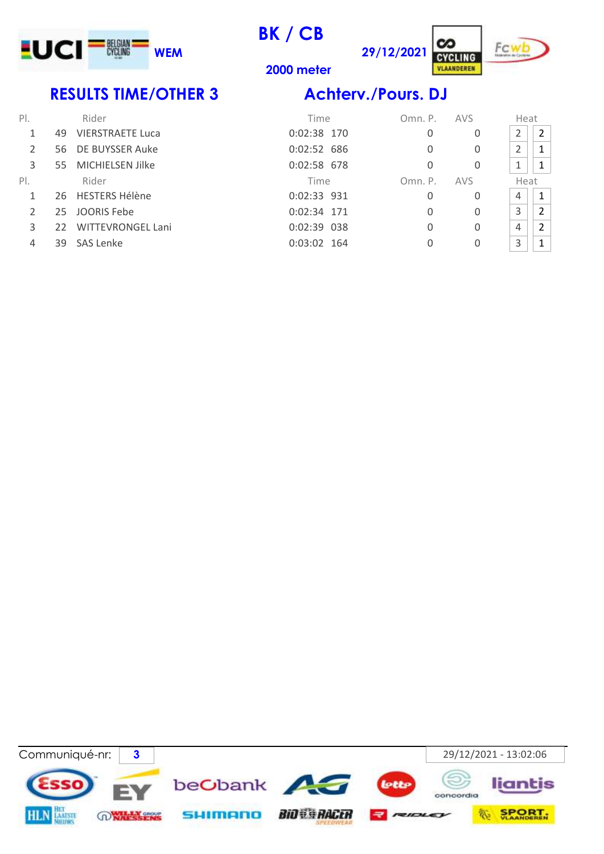

**29/12/2021**



**2000 meter**

### **RESULTS TIME/OTHER 3 Achterv./Pours. DJ**

| $P$ .         |              | Rider                    | Time          | Omn. P. | <b>AVS</b> | Heat |                |
|---------------|--------------|--------------------------|---------------|---------|------------|------|----------------|
|               | 49           | <b>VIERSTRAETE Luca</b>  | 0:02:38 170   | 0       | 0          | 2    | $\overline{2}$ |
| $\mathcal{P}$ | 56.          | DE BUYSSER Auke          | 0:02:52 686   | 0       | 0          | 2    |                |
| 3             | 55           | MICHIELSEN Jilke         | $0:02:58$ 678 | 0       | 0          | 1    |                |
| PI.           |              | Rider                    | Time          | Omn. P. | <b>AVS</b> | Heat |                |
|               |              | 26 HESTERS Hélène        | 0:02:33 931   | 0       | 0          | 4    | $\mathbf{1}$   |
|               | 25           | JOORIS Febe              | 0:02:34 171   | 0       | 0          | 3    | $\overline{2}$ |
| 3             | $22^{\circ}$ | <b>WITTEVRONGEL Lani</b> | 0:02:39 038   | 0       | 0          | 4    | 2              |
| 4             | 39           | SAS Lenke                | $0:03:02$ 164 | 0       | 0          | 3    |                |

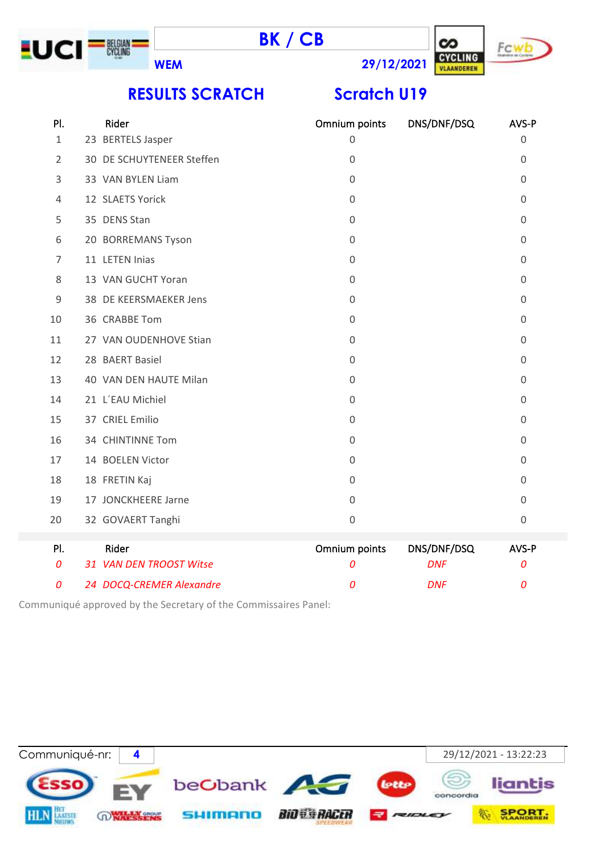





**RESULTS SCRATCH Scratch U19** 

| PI.          | Rider                     | Omnium points    | DNS/DNF/DSQ | AVS-P               |
|--------------|---------------------------|------------------|-------------|---------------------|
| $\mathbf{1}$ | 23 BERTELS Jasper         | 0                |             | $\mathbf 0$         |
| 2            | 30 DE SCHUYTENEER Steffen | $\mathbf 0$      |             | $\mathbf 0$         |
| 3            | 33 VAN BYLEN Liam         | $\mathbf 0$      |             | $\mathbf 0$         |
| 4            | 12 SLAETS Yorick          | $\mathbf 0$      |             | $\mathbf 0$         |
| 5            | 35 DENS Stan              | 0                |             | $\mathbf 0$         |
| 6            | 20 BORREMANS Tyson        | $\mathbf 0$      |             | $\overline{0}$      |
| 7            | 11 LETEN Inias            | $\mathbf 0$      |             | $\mathbf 0$         |
| 8            | 13 VAN GUCHT Yoran        | $\mathbf 0$      |             | $\mathbf 0$         |
| 9            | 38 DE KEERSMAEKER Jens    | $\boldsymbol{0}$ |             | $\mathbf 0$         |
| 10           | 36 CRABBE Tom             | $\boldsymbol{0}$ |             | $\mathbf 0$         |
| 11           | 27 VAN OUDENHOVE Stian    | $\boldsymbol{0}$ |             | $\mathbf 0$         |
| 12           | 28 BAERT Basiel           | $\mathbf 0$      |             | $\mathbf 0$         |
| 13           | 40 VAN DEN HAUTE Milan    | $\mathbf 0$      |             | $\mathbf 0$         |
| 14           | 21 L'EAU Michiel          | $\mathbf 0$      |             | $\overline{0}$      |
| 15           | 37 CRIEL Emilio           | $\mathbf 0$      |             | $\mathbf 0$         |
| 16           | 34 CHINTINNE Tom          | $\mathbf 0$      |             | $\boldsymbol{0}$    |
| 17           | 14 BOELEN Victor          | $\boldsymbol{0}$ |             | $\mathbf 0$         |
| 18           | 18 FRETIN Kaj             | $\mathsf 0$      |             | $\mathbf 0$         |
| 19           | 17 JONCKHEERE Jarne       | $\mathbf 0$      |             | $\mathbf 0$         |
| 20           | 32 GOVAERT Tanghi         | $\mathbf 0$      |             | $\mathsf{O}\xspace$ |
| PI.          | Rider                     | Omnium points    | DNS/DNF/DSQ | AVS-P               |
| 0            | 31 VAN DEN TROOST Witse   | 0                | <b>DNF</b>  | 0                   |
| 0            | 24 DOCQ-CREMER Alexandre  | 0                | <b>DNF</b>  | 0                   |

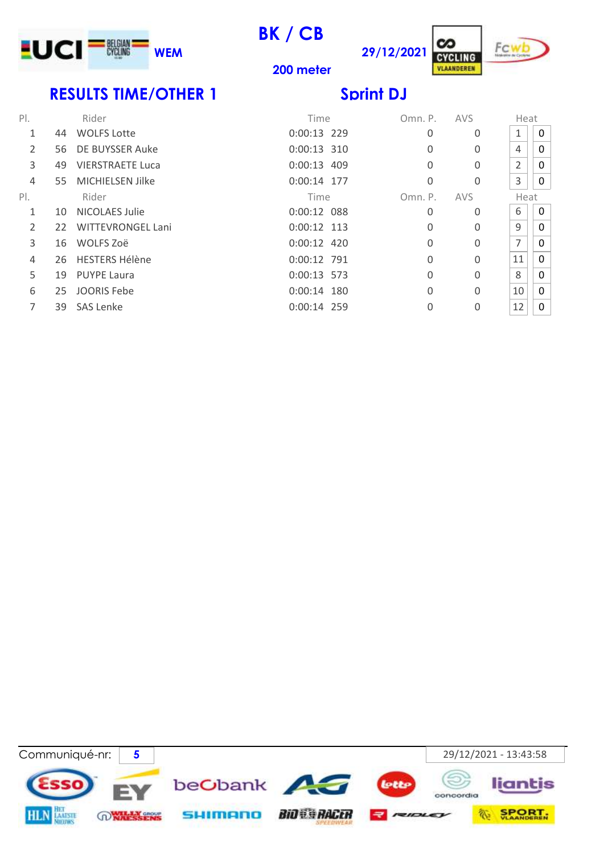

**200 meter**

C/. **29/12/2021**



# **RESULTS TIME/OTHER 1** Sprint DJ

| $P$ . |     | Rider                    | Time          | Omn. P.  | <b>AVS</b> | Heat           |              |
|-------|-----|--------------------------|---------------|----------|------------|----------------|--------------|
| 1     | 44  | <b>WOLFS Lotte</b>       | 0:00:13 229   | 0        | 0          | 1              | $\mathbf{0}$ |
| 2     | 56. | DE BUYSSER Auke          | 0:00:13 310   | $\Omega$ | 0          | 4              | $\mathbf{0}$ |
| 3     | 49  | <b>VIERSTRAETE Luca</b>  | $0:00:13$ 409 | $\Omega$ | 0          | $\overline{2}$ | $\mathbf{0}$ |
| 4     | 55. | <b>MICHIELSEN Jilke</b>  | 0:00:14 177   | $\Omega$ | 0          | 3              | 0            |
| PI.   |     | Rider                    | Time          | Omn. P.  | <b>AVS</b> | Heat           |              |
| 1     | 10  | <b>NICOLAES Julie</b>    | $0:00:12$ 088 | 0        | 0          | 6              | 0            |
| 2     | 22  | <b>WITTEVRONGEL Lani</b> | $0:00:12$ 113 | 0        | 0          | 9              | $\mathbf{0}$ |
| 3     | 16  | WOLFS Zoë                | 0:00:12 420   | 0        | $\Omega$   | 7              | 0            |
| 4     | 26  | <b>HESTERS Hélène</b>    | 0:00:12 791   | $\Omega$ | $\Omega$   | 11             | $\mathbf 0$  |
| 5     | 19  | <b>PUYPE Laura</b>       | 0:00:13 573   | $\Omega$ | 0          | 8              | $\mathbf{0}$ |
| 6     | 25  | <b>JOORIS Febe</b>       | $0:00:14$ 180 | $\Omega$ | 0          | 10             | $\mathbf{0}$ |
| 7     | 39  | <b>SAS Lenke</b>         | $0:00:14$ 259 | 0        | 0          | 12             | 0            |

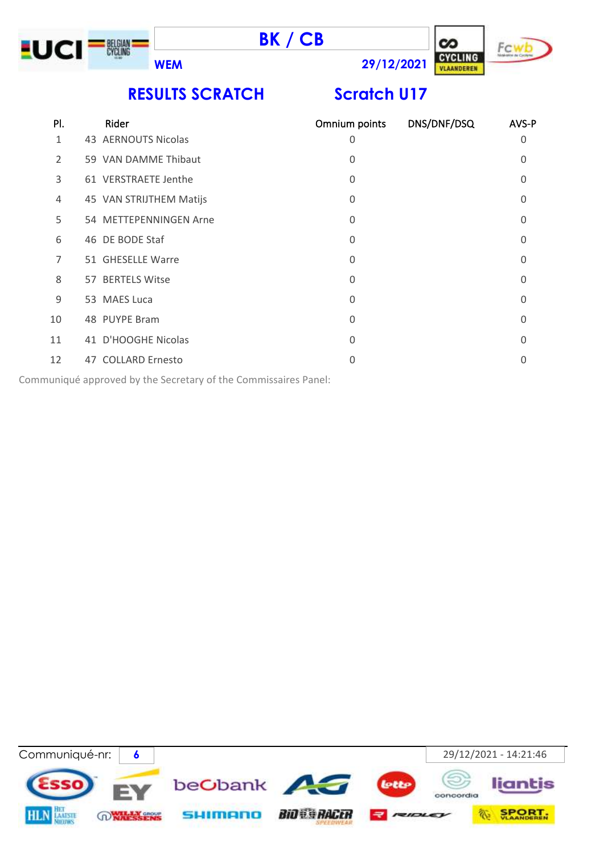





**WEM 29/12/2021**

# **RESULTS SCRATCH Scratch U17**

| PI.            | Rider                   | Omnium points | DNS/DNF/DSQ | AVS-P    |
|----------------|-------------------------|---------------|-------------|----------|
| 1              | 43 AERNOUTS Nicolas     | 0             |             | 0        |
| $\overline{2}$ | 59 VAN DAMME Thibaut    | 0             |             | $\Omega$ |
| 3              | 61 VERSTRAETE Jenthe    | 0             |             | 0        |
| 4              | 45 VAN STRIJTHEM Matijs | 0             |             | 0        |
| 5              | 54 METTEPENNINGEN Arne  | 0             |             | 0        |
| 6              | 46 DE BODE Staf         | 0             |             | $\Omega$ |
| 7              | 51 GHESELLE Warre       | 0             |             | 0        |
| 8              | 57 BERTELS Witse        | $\Omega$      |             | O        |
| 9              | 53 MAES Luca            | 0             |             | $\Omega$ |
| 10             | 48 PUYPE Bram           | 0             |             | $\Omega$ |
| 11             | 41 D'HOOGHE Nicolas     | 0             |             | $\Omega$ |
| 12             | 47 COLLARD Ernesto      | 0             |             | O        |
|                |                         |               |             |          |

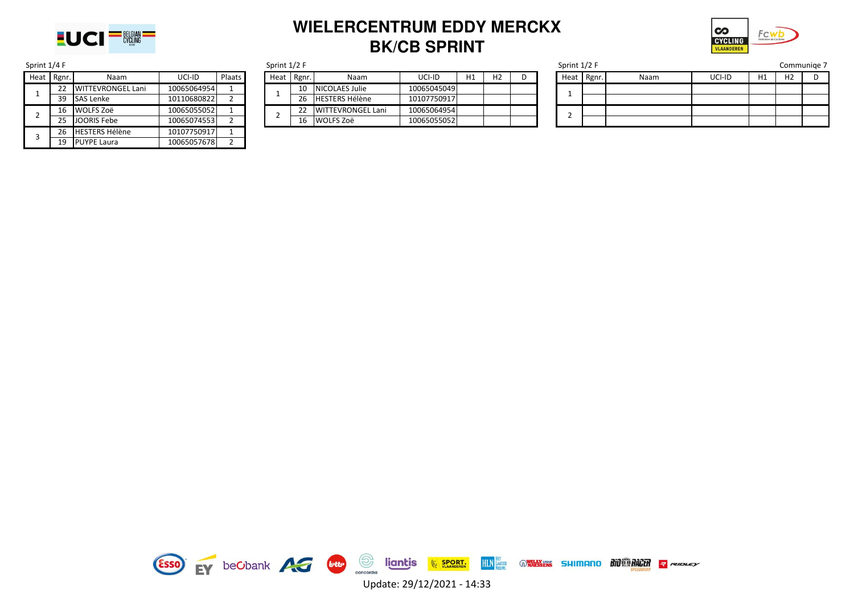

### **WIELERCENTRUM EDDY MERCKX BK/CB SPRINT**



| Sprint 1/4 F                   |    |                       |             | Sprint 1/2 F |      |                       |                          |             |  |  |
|--------------------------------|----|-----------------------|-------------|--------------|------|-----------------------|--------------------------|-------------|--|--|
| Heat<br>Rgnr.<br>Naam          |    |                       | UCI-ID      | Plaats       | Heat | Rgnr.                 | Naam                     | UCI-ID      |  |  |
| <b>WITTEVRONGEL Lani</b><br>22 |    | 10065064954           | 1           |              | 10   | <b>NICOLAES Julie</b> | 10065045049              |             |  |  |
|                                | 39 | <b>SAS Lenke</b>      | 10110680822 | 2            |      | 26                    | <b>HESTERS Hélène</b>    | 10107750917 |  |  |
| 2                              | 16 | <b>WOLFS Zoë</b>      | 10065055052 | 1            | າ    | 22                    | <b>WITTEVRONGEL Lani</b> | 10065064954 |  |  |
|                                | 25 | <b>JOORIS Febe</b>    | 10065074553 | 2            |      | 16                    | <b>WOLFS Zoë</b>         | 10065055052 |  |  |
| 3                              | 26 | <b>HESTERS Hélène</b> | 10107750917 | 1            |      |                       |                          |             |  |  |
|                                | 19 | <b>PUYPE Laura</b>    | 10065057678 | 2            |      |                       |                          |             |  |  |
|                                |    |                       |             |              |      |                       |                          |             |  |  |

| Sprint $1/2$ F |       |                          |             |    |    |  |  |  |  |  |  |
|----------------|-------|--------------------------|-------------|----|----|--|--|--|--|--|--|
| Heat           | Rgnr. | Naam                     | UCI-ID      | H1 | Н2 |  |  |  |  |  |  |
|                | 10    | NICOLAES Julie           | 10065045049 |    |    |  |  |  |  |  |  |
|                | 26    | <b>HESTERS Hélène</b>    | 10107750917 |    |    |  |  |  |  |  |  |
| 2              | 22    | <b>WITTEVRONGEL Lani</b> | 10065064954 |    |    |  |  |  |  |  |  |
|                | 16    | WOLFS Zoë                | 10065055052 |    |    |  |  |  |  |  |  |

| Sprint 1/2 F<br>Sprint 1/4 F |    |                   |             |        |  |      |          |                          | Sprint 1/2 F |                |  |      |       |      | Communige 7 |    |                |  |
|------------------------------|----|-------------------|-------------|--------|--|------|----------|--------------------------|--------------|----------------|--|------|-------|------|-------------|----|----------------|--|
| Heat Rgnr.                   |    | Naam              | UCI-ID      | Plaats |  | Heat | $Rgnr$ . | Naam                     | UCI-ID       | H <sub>2</sub> |  | Heat | Rgnr. | Naam | UCI-ID      | H1 | H <sub>2</sub> |  |
|                              |    | WITTEVRONGEL Lani | 10065064954 |        |  |      | 10       | <b>NICOLAES Julie</b>    | 10065045049  |                |  |      |       |      |             |    |                |  |
|                              | 39 | SAS Lenke         | 10110680822 |        |  |      | 26       | <b>HESTERS Hélène</b>    | 10107750917  |                |  |      |       |      |             |    |                |  |
|                              |    | 16 WOLFS Zoë      | 10065055052 |        |  |      |          | <b>WITTEVRONGEL Lani</b> | 10065064954  |                |  |      |       |      |             |    |                |  |
|                              | つに | JOORIS Febe       | 10065074553 |        |  |      | 16       | <b>WOLFS Zoë</b>         | 10065055052  |                |  |      |       |      |             |    |                |  |

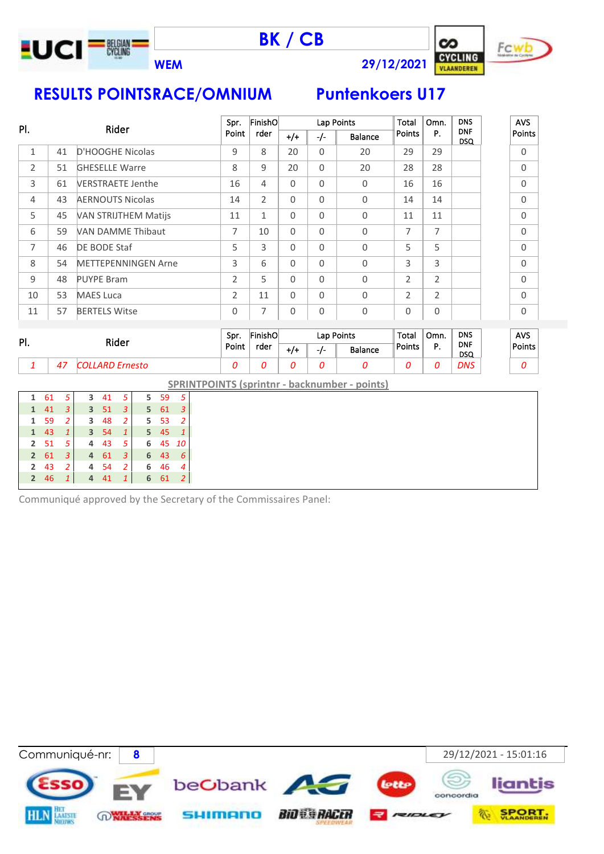

**BK / CB**





AVS Points

**RESULTS POINTSRACE/OMNIUM Puntenkoers U17**

|                |    |                             |                | FinishO        |              |          | Lap Points | Total          | Omn. | <b>DNS</b>         | AV  |
|----------------|----|-----------------------------|----------------|----------------|--------------|----------|------------|----------------|------|--------------------|-----|
| PI.            |    | Rider                       | Point          | rder           | $+/-$        | -/-      | Balance    | Points         | Р.   | <b>DNF</b><br>DSQ. | Poi |
| 1              | 41 | D'HOOGHE Nicolas            | 9              | 8              | 20           | $\Omega$ | 20         | 29             | 29   |                    | O   |
| $\overline{2}$ | 51 | <b>GHESELLE Warre</b>       | 8              | 9              | 20           | $\Omega$ | 20         | 28             | 28   |                    | O   |
| 3              | 61 | <b>VERSTRAETE Jenthe</b>    | 16             | 4              | $\Omega$     | $\Omega$ | 0          | 16             | 16   |                    | O   |
| 4              | 43 | <b>AERNOUTS Nicolas</b>     | 14             | $\overline{2}$ | $\Omega$     | $\Omega$ | 0          | 14             | 14   |                    | O   |
| 5              | 45 | <b>VAN STRIJTHEM Matijs</b> | 11             | $\mathbf{1}$   | $\Omega$     | $\Omega$ | 0          | 11             | 11   |                    | O   |
| 6              | 59 | <b>VAN DAMME Thibaut</b>    | 7              | 10             | $\Omega$     | $\Omega$ | $\Omega$   | 7              | 7    |                    | O   |
| 7              | 46 | DE BODE Staf                | 5              | 3              | $\Omega$     | $\Omega$ | 0          | 5              | 5    |                    | O   |
| 8              | 54 | <b>METTEPENNINGEN Arne</b>  | 3              | 6              | $\Omega$     | $\Omega$ | 0          | 3              | 3    |                    | O   |
| 9              | 48 | <b>PUYPE Bram</b>           | 2              | 5              | $\mathbf{0}$ | $\Omega$ | 0          | $\overline{2}$ | 2    |                    | O   |
| 10             | 53 | <b>MAES Luca</b>            | $\overline{2}$ | 11             | $\Omega$     | $\Omega$ | 0          | $\overline{2}$ | 2    |                    | O   |
| 11             | 57 | <b>BERTELS Witse</b>        | 0              | 7              | $\mathbf 0$  | $\Omega$ | 0          | 0              | 0    |                    | O   |

| PI. |    | Rider                  | Spr.  | FinishOl<br>rder |       |       | Lap Points | Total  | Omn. | <b>DNS</b><br><b>DNF</b><br><b>DSQ</b> |  | <b>AVS</b> |
|-----|----|------------------------|-------|------------------|-------|-------|------------|--------|------|----------------------------------------|--|------------|
|     |    |                        | Point |                  | $+1+$ | - - - | Balance    | Points |      |                                        |  | Points     |
|     | 47 | <i>COLLARD Ernesto</i> |       |                  |       |       |            |        |      | <b>DNS</b>                             |  |            |

**SPRINTPOINTS (sprintnr - backnumber - points)**

| 1            | 61   | -5             | 3              | 41    | -5             |       | 5 59  | -5 |  |
|--------------|------|----------------|----------------|-------|----------------|-------|-------|----|--|
| $\mathbf{1}$ | 41   | $\overline{3}$ | $\overline{3}$ | - 51  | $\blacksquare$ | 5     | 61    | 3  |  |
| 1            | -59  | 2              | 3              | 48    | 2              |       | 5 53  | -2 |  |
| $\mathbf{1}$ | 43   | 1              |                | 3, 54 | $\mathbf{1}$   | $5 -$ | 45    | 1  |  |
|              | 2 51 | 5              | 4              | 43    | 5              | 6     | 45 10 |    |  |
| $\mathbf{2}$ | 61   | 3              | 4              | 61    | 3              | 6     | 43    | 6  |  |
| $\mathbf{2}$ | -43  | 2              | 4              | -54   | -2             | 6     | 46    | 4  |  |
|              | 2 46 | $\mathbf{1}$   | 4              | 41    | $\mathbf{1}$   | 6     | 61    | 2  |  |
|              |      |                |                |       |                |       |       |    |  |

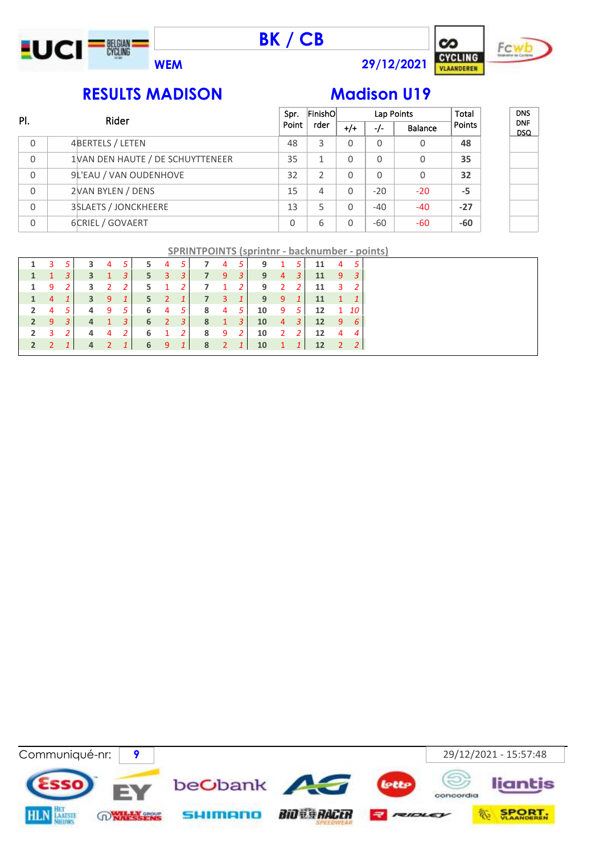





DNS DNF DSQ

### **RESULTS MADISON Madison U19**

| PI. | Rider                            | Spr.     | FinishO        |          | Lap Points |                | Total  |
|-----|----------------------------------|----------|----------------|----------|------------|----------------|--------|
|     |                                  | Point    | rder           | $^{+/+}$ | $-/-$      | <b>Balance</b> | Points |
| 0   | 4BERTELS / LETEN                 | 48       | 3              | 0        | 0          | 0              | 48     |
| 0   | 1VAN DEN HAUTE / DE SCHUYTTENEER | 35       |                | 0        | 0          | 0              | 35     |
| 0   | 9L'EAU / VAN OUDENHOVE           | 32       | $\mathfrak{D}$ | 0        | 0          | $\Omega$       | 32     |
| 0   | 2VAN BYLEN / DENS                | 15       | 4              | 0        | $-20$      | $-20$          | -5     |
| 0   | <b>3SLAETS / JONCKHEERE</b>      | 13       | 5              | 0        | $-40$      | $-40$          | $-27$  |
| 0   | 6CRIEL / GOVAERT                 | $\Omega$ | 6              | 0        | $-60$      | $-60$          | -60    |

| <b>SPRINTPOINTS (sprintnr - backnumber - points)</b> |
|------------------------------------------------------|
|------------------------------------------------------|

|             |                     |            | $\sim$ 4            | -5 '         | 5. | 4 5                 |                | $\mathbf{7}$                                    |                  | 4 5 | 9 1 5                     |  | 11      | -4 |                |
|-------------|---------------------|------------|---------------------|--------------|----|---------------------|----------------|-------------------------------------------------|------------------|-----|---------------------------|--|---------|----|----------------|
|             |                     | 31         | 3 1 3               |              |    | $5 \quad 3$         | $-3$           | $\overline{7}$                                  | $9 \quad 3 \mid$ |     | $9 \quad 4 \quad 3$       |  | 11 9 3  |    |                |
|             | 1 9                 | <b>2</b> I | 3 2                 | <sup>2</sup> | 5  | -1                  | $\overline{2}$ | <b>7</b>                                        |                  |     | 1 2 9 2 2                 |  | 11 3    |    |                |
|             | $1 \quad 4 \quad 1$ |            | 3 9 1               |              |    | $5 \quad 2$         |                | $1 \overline{7}$                                |                  |     | 3 1 9 9 1                 |  | 11 1 1  |    |                |
|             | $2 \t 4 \t 5$       |            | 4 9 5               |              |    |                     |                | $\begin{array}{cccc} 6 & 4 & 5 & 8 \end{array}$ | 4 5              |     | $10 \quad 9 \quad 5$      |  | 12 1 10 |    |                |
|             | $2 \quad 9 \quad 3$ |            | $4 \quad 1 \quad 3$ |              |    |                     |                |                                                 |                  |     | 6 2 3 8 1 3 10 4 3        |  | 12 9 6  |    |                |
| $2 \quad 3$ |                     |            | 4 4 2               |              |    | $6 \quad 1 \quad 2$ |                |                                                 |                  |     | 8 9 2 10 2 2              |  | 12 4    |    | $\overline{4}$ |
|             |                     |            | 4 2 1               |              |    |                     |                |                                                 |                  |     | 6 9 1 8 2 1 10 1 1 12 2 2 |  |         |    |                |
|             |                     |            |                     |              |    |                     |                |                                                 |                  |     |                           |  |         |    |                |

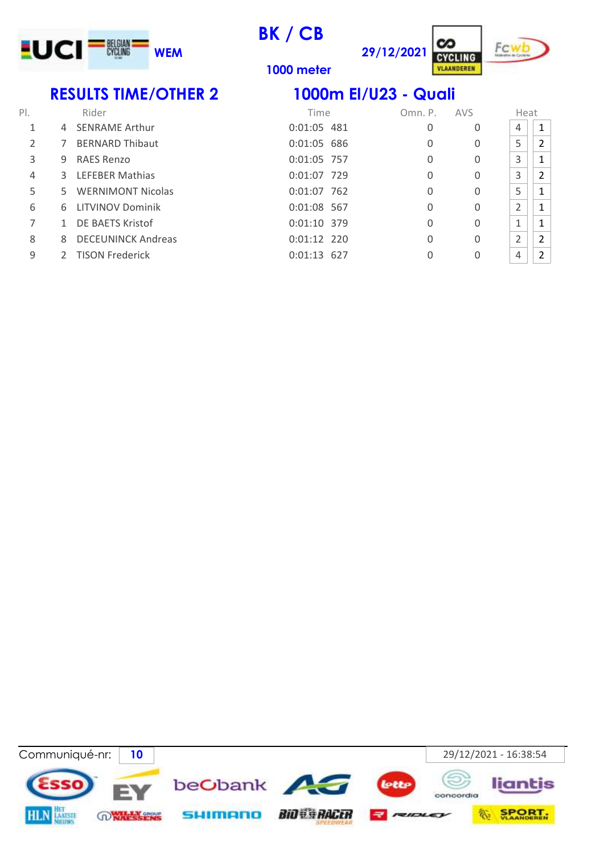

cz **29/12/2021 CYCLING** 

VLAANDEREN



**1000 meter**

### **RESULTS TIME/OTHER 2 1000m El/U23 - Quali**

| PI.           |    | Rider                     | Time          | Omn. P. | <b>AVS</b> | Heat                 |                |
|---------------|----|---------------------------|---------------|---------|------------|----------------------|----------------|
|               | 4  | <b>SENRAME Arthur</b>     | 0:01:05 481   | 0       | 0          | 4                    | 1              |
| $\mathcal{P}$ |    | <b>BERNARD Thibaut</b>    | $0:01:05$ 686 | 0       | 0          | 5                    | $\overline{2}$ |
| 3             | 9  | RAES Renzo                | 0:01:05 757   | 0       | 0          | 3                    | 1              |
| 4             | 3  | <b>LEFEBER Mathias</b>    | 0:01:07 729   | 0       | 0          | 3                    | $\overline{2}$ |
| 5             | 5. | <b>WERNIMONT Nicolas</b>  | $0:01:07$ 762 | 0       | 0          | 5                    | 1              |
| 6             | 6. | <b>LITVINOV Dominik</b>   | 0:01:08 567   | 0       | 0          | $\overline{2}$       | 1              |
|               |    | DE BAETS Kristof          | $0:01:10$ 379 | 0       | 0          | $\blacktriangleleft$ | 1              |
| 8             | 8  | <b>DECEUNINCK Andreas</b> | $0:01:12$ 220 | 0       | 0          | $\overline{2}$       | 2              |
| 9             |    | <b>TISON Frederick</b>    | $0:01:13$ 627 | 0       |            | 4                    | $\overline{2}$ |

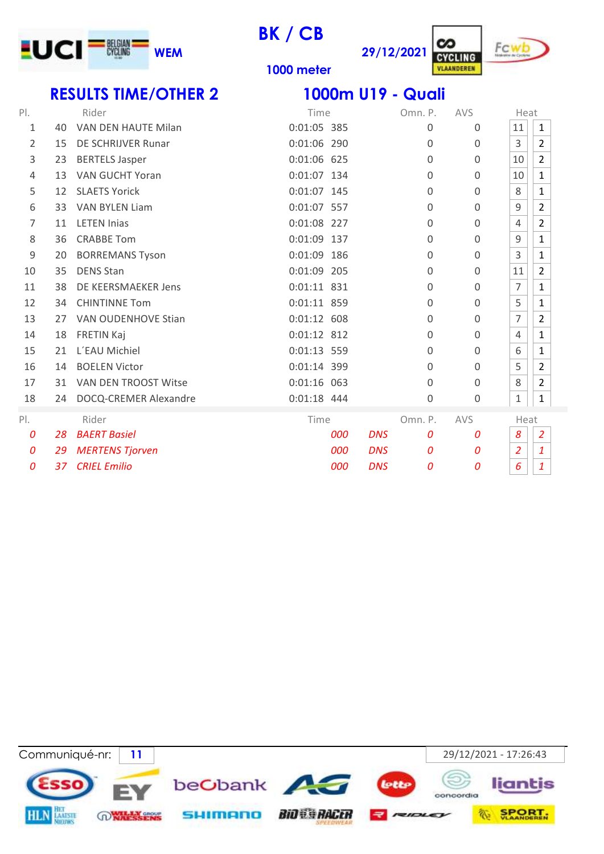

**29/12/2021 CYCLING** 



VLAANDEREN

**meter**

# **RESULTS TIME/OTHER 2 1000m U19 - Quali**

| PI.   |    | Rider                      | Time           | Omn. P.         | AVS              | Heat           |                     |
|-------|----|----------------------------|----------------|-----------------|------------------|----------------|---------------------|
| 1     | 40 | VAN DEN HAUTE Milan        | 0:01:05 385    | 0               | 0                | 11             | $\mathbf{1}$        |
| 2     | 15 | DE SCHRIJVER Runar         | 0:01:06 290    | 0               | $\mathbf{0}$     | 3              | $\overline{2}$      |
| 3     | 23 | <b>BERTELS Jasper</b>      | 0:01:06 625    | $\Omega$        | $\mathbf 0$      | 10             | $\overline{2}$      |
| 4     | 13 | <b>VAN GUCHT Yoran</b>     | 0:01:07 134    | $\overline{0}$  | $\mathbf 0$      | 10             | $\mathbf{1}$        |
| 5     | 12 | <b>SLAETS Yorick</b>       | 0:01:07 145    | $\Omega$        | $\mathbf 0$      | 8              | $\mathbf{1}$        |
| 6     | 33 | <b>VAN BYLEN Liam</b>      | 0:01:07 557    | 0               | $\mathbf{0}$     | 9              | $\overline{2}$      |
| 7     | 11 | <b>LETEN Inias</b>         | 0:01:08 227    | $\Omega$        | $\mathbf 0$      | 4              | $\overline{2}$      |
| 8     | 36 | <b>CRABBE Tom</b>          | 0:01:09 137    | 0               | $\mathbf 0$      | 9              | $\mathbf{1}$        |
| 9     | 20 | <b>BORREMANS Tyson</b>     | 0:01:09<br>186 | $\overline{0}$  | $\mathbf 0$      | 3              | $\mathbf{1}$        |
| 10    | 35 | <b>DENS Stan</b>           | 0:01:09 205    | $\Omega$        | $\mathbf 0$      | 11             | $\overline{2}$      |
| 11    | 38 | DE KEERSMAEKER Jens        | $0:01:11$ 831  | $\Omega$        | $\mathbf{0}$     | 7              | $\mathbf{1}$        |
| 12    | 34 | <b>CHINTINNE Tom</b>       | 0:01:11 859    | $\Omega$        | $\mathbf 0$      | 5              | $\mathbf{1}$        |
| 13    | 27 | <b>VAN OUDENHOVE Stian</b> | $0:01:12$ 608  | 0               | $\mathbf 0$      | $\overline{7}$ | $\overline{2}$      |
| 14    | 18 | FRETIN Kaj                 | $0:01:12$ 812  | 0               | 0                | 4              | $\mathbf 1$         |
| 15    | 21 | L'EAU Michiel              | 0:01:13 559    | $\Omega$        | $\mathbf{0}$     | 6              | $\mathbf{1}$        |
| 16    | 14 | <b>BOELEN Victor</b>       | 0:01:14 399    | $\Omega$        | $\mathbf{0}$     | 5              | $\overline{2}$      |
| 17    | 31 | VAN DEN TROOST Witse       | $0:01:16$ 063  | $\Omega$        | $\mathbf 0$      | 8              | $\overline{2}$      |
| 18    | 24 | DOCQ-CREMER Alexandre      | 0:01:18 444    | 0               | 0                | $\mathbf{1}$   | $\mathbf 1$         |
| $P$ . |    | Rider                      | Time           | Omn. P.         | AVS              | Heat           |                     |
| 0     | 28 | <b>BAERT Basiel</b>        | 000            | <b>DNS</b><br>0 | $\boldsymbol{0}$ | 8              | $\overline{2}$      |
| 0     | 29 | <b>MERTENS Tjorven</b>     | 000            | <b>DNS</b><br>0 | $\boldsymbol{0}$ | $\overline{2}$ | $\pmb{\mathcal{1}}$ |
| 0     | 37 | <b>CRIEL Emilio</b>        | 000            | <b>DNS</b><br>0 | 0                | 6              | $\overline{1}$      |

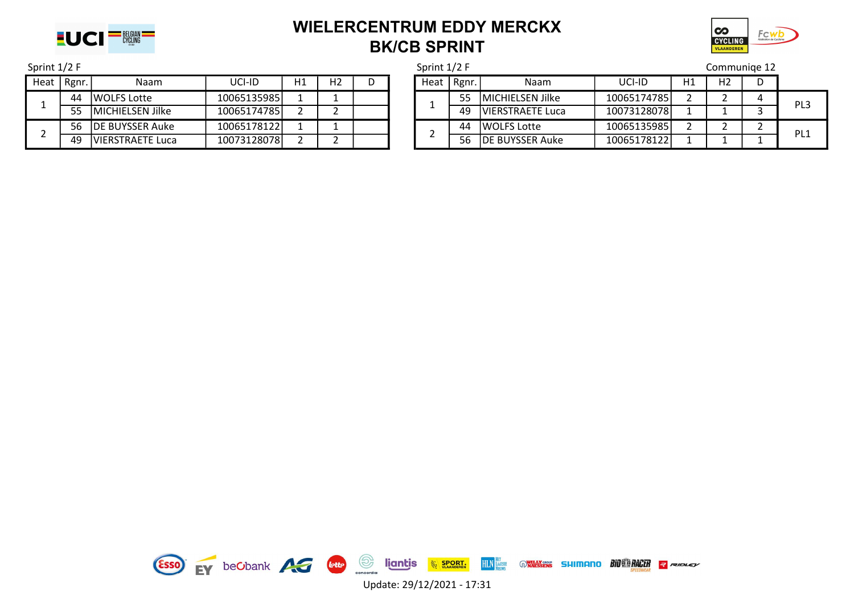

### WIELERCENTRUM EDDY MERCKX BK/CB SPRINT



# Heat | Rgnr. | Naam | UCI-ID | H1 | H2 | D | | H2 | H2 | D | H1 | H2 | D 1 44 WOLFS Lotte 10065135985 1 1<br>1 55 MICHIELSEN Jilke 10065174785 2 2 2 56 DE BUYSSER Auke 10065178122 1 1<br>49 VIERSTRAETE Luca 10073128078 2 2

| Sprint 1/2 F |                          |                          |             |    |                |              |  | Sprint 1/2 F |                         |                         | Communige 12 |    |                |  |                 |
|--------------|--------------------------|--------------------------|-------------|----|----------------|--------------|--|--------------|-------------------------|-------------------------|--------------|----|----------------|--|-----------------|
| Heat         | Rgnr.                    | Naam                     | UCI-ID      | Η1 | H <sub>2</sub> | <sub>n</sub> |  |              | Heat   Rgnr.            | <b>Naam</b>             | UCI-ID       | H1 | H <sub>2</sub> |  |                 |
|              | 44                       | <b>IWOLFS Lotte</b>      | 10065135985 |    |                |              |  |              | 55                      | <b>MICHIELSEN Jilke</b> | 10065174785  |    |                |  | PL3             |
| 55           |                          | <b>IMICHIELSEN Jilke</b> | 10065174785 |    |                |              |  |              | 49                      | <b>VIERSTRAETE Luca</b> | 10073128078  |    |                |  |                 |
|              | 56                       | <b>DE BUYSSER Auke</b>   | 10065178122 |    |                |              |  |              | 44                      | <b>WOLFS Lotte</b>      | 10065135985  |    |                |  | PL <sub>1</sub> |
| 49           | <b>IVIERSTRAETE Luca</b> | 10073128078              |             |    |                |              |  | 56           | <b>IDE BUYSSER Auke</b> | 10065178122             |              |    |                |  |                 |

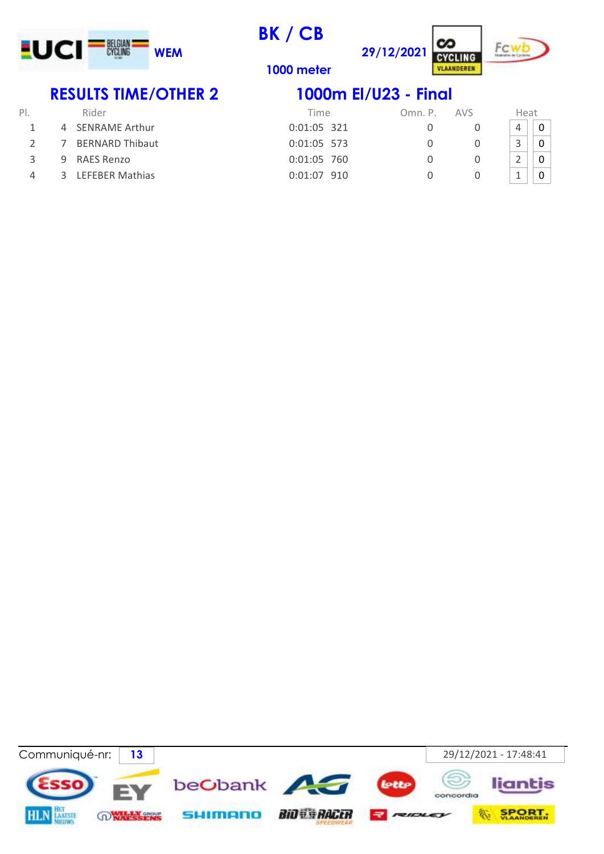

cz **29/12/2021 CYCLING** 



**1000 meter**

# **RESULTS TIME/OTHER 2 1000m El/U23 - Final**

| PI.           |   | Rider                  | Time        | Omn. P. | <b>AVS</b> | Heat |  |
|---------------|---|------------------------|-------------|---------|------------|------|--|
|               |   | 4 SENRAME Arthur       | 0:01:05 321 |         |            |      |  |
|               | 7 | <b>BERNARD Thibaut</b> | 0:01:05 573 |         |            |      |  |
| $\mathcal{R}$ | 9 | RAES Renzo             | 0:01:05 760 |         |            |      |  |
| 4             | ₹ | <b>LEFEBER Mathias</b> | 0:01:07 910 |         |            |      |  |
|               |   |                        |             |         |            |      |  |

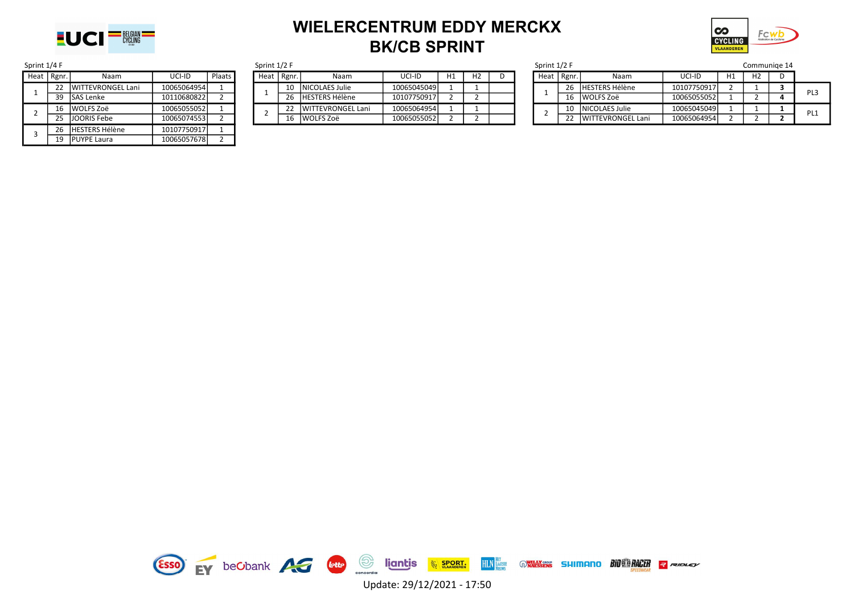

### WIELERCENTRUM EDDY MERCKX BK/CB SPRINT



| Sprint 1/4 F   |       |                           |             |        |  |  |  |  |
|----------------|-------|---------------------------|-------------|--------|--|--|--|--|
| Heat           | Rgnr. | Naam                      | UCI-ID      | Plaats |  |  |  |  |
| 1              | 22    | <b>IWITTEVRONGEL Lani</b> | 10065064954 |        |  |  |  |  |
|                | 39    | lSAS Lenke                | 10110680822 | 2      |  |  |  |  |
| $\overline{2}$ | 16    | l WOLFS Zoë               | 10065055052 |        |  |  |  |  |
|                | 25    | <b>JJOORIS Febe</b>       | 10065074553 |        |  |  |  |  |
| 3              | 26    | <b>HESTERS Hélène</b>     | 10107750917 |        |  |  |  |  |
|                | 19    | <b>PUYPE Laura</b>        | 10065057678 |        |  |  |  |  |

| print 1/4 F |              |                          |             |        |  | Sprint 1/2 F |          |                           |             |    |                |  | Sprint 1/2 F |       | communiqe                |             |    |                |  |
|-------------|--------------|--------------------------|-------------|--------|--|--------------|----------|---------------------------|-------------|----|----------------|--|--------------|-------|--------------------------|-------------|----|----------------|--|
|             | Heat   Rgnr. | Naam                     | uci-id      | Plaats |  | Heat         | Rgnr.    | Naam                      | UCI-ID      | H1 | H <sub>2</sub> |  | Heat         | Rgnr. | Naam                     | UCI-ID      | H1 | H <sub>2</sub> |  |
|             |              | <b>WITTEVRONGEL Lani</b> | 10065064954 |        |  |              |          | <b>INICOLAES Julie</b>    | 10065045049 |    |                |  |              |       | lHESTERS Hélène          | 10107750917 |    |                |  |
|             |              | <b>ISAS Lenke</b>        | 10110680822 |        |  |              | $\Omega$ | <b>HESTERS Hélène</b>     | 10107750917 |    |                |  |              |       | 16 WOLFS Zoë             | 10065055052 |    |                |  |
|             |              | WOLFS Zoë                | 10065055052 |        |  |              |          | <b>IWITTEVRONGEL Lani</b> | 10065064954 |    |                |  |              |       | <b>INICOLAES Julie</b>   | 10065045049 |    |                |  |
|             |              | <b>JJOORIS Febe</b>      | 10065074553 |        |  |              |          | l WOLFS Zoë               | 10065055052 |    |                |  |              |       | <b>WITTEVRONGEL Lani</b> | 10065064954 |    |                |  |

| Sprint 1/4 F |                       |              |        | Sprint 1/2 F |              |                           |             |    |  | Sprint 1/2 F |       |                           |             |    | Communige 14   |                 |
|--------------|-----------------------|--------------|--------|--------------|--------------|---------------------------|-------------|----|--|--------------|-------|---------------------------|-------------|----|----------------|-----------------|
| Heat   Rgnr. | Naam                  | UCI-ID       | Plaats |              | Heat   Rgnr. | Naam                      | UCI-ID      | H1 |  | Heat         | Rgnr. | Naam                      | UCI-ID      | H1 | H <sub>2</sub> |                 |
|              | 22 IWITTEVRONGEL Lani | 10065064954  |        |              | 10           | <b>INICOLAES Julie</b>    | 10065045049 |    |  |              | 26    | HESTERS Hélène            | 10107750917 |    |                | PL <sub>3</sub> |
|              | 39 ISAS Lenke         | 101106808221 |        |              | 26           | HESTERS Hélène            | 10107750917 |    |  |              | 16    | MOLFS Zoë                 | 10065055052 |    |                |                 |
|              | 5 NVOLFS Zoë          | 10065055052  |        |              |              | <b>IWITTEVRONGEL Lani</b> | 10065064954 |    |  |              | 10    | <b>INICOLAES Julie</b>    | 10065045049 |    |                | PL1             |
|              | 25 JJOORIS Febe       | 10065074553  |        |              | 16           | WOLFS Zoë                 | 10065055052 |    |  |              | 22    | <b>IWITTEVRONGEL Lani</b> | 10065064954 |    |                |                 |